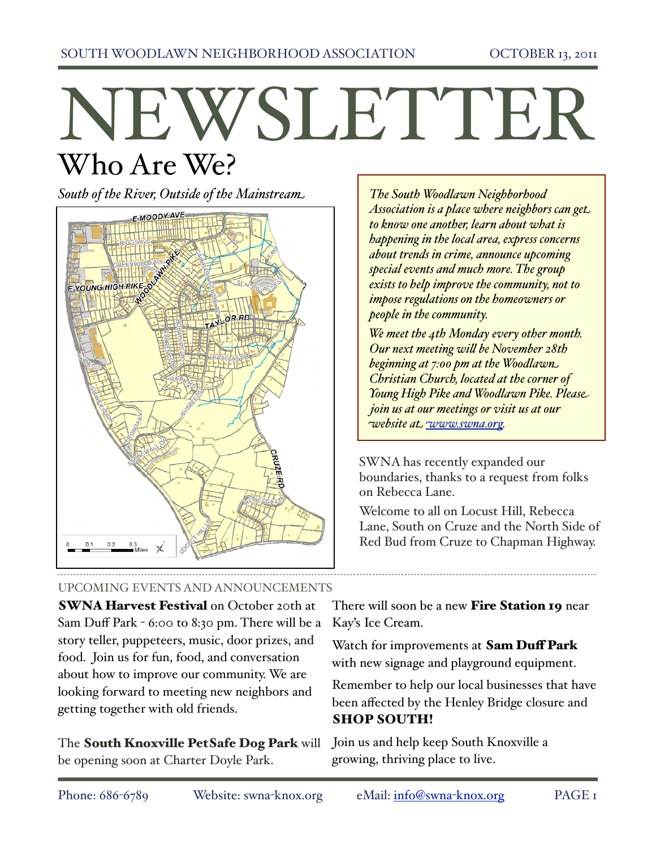# NEWSLETTER Who Are We?

*South of the River, Outside of the Mainstream*



UPCOMING EVENTS AND ANNOUNCEMENTS

**SWNA Harvest Festival** on October 20th at Sam Duff Park - 6:00 to 8:30 pm. There will be a story teller, puppeteers, music, door prizes, and food. Join us for fun, food, and conversation about how to improve our community. We are looking forward to meeting new neighbors and getting together with old friends.

The South Knoxville PetSafe Dog Park will be opening soon at Charter Doyle Park.

*The South Woodlawn Neighborhood Association is a place where neighbors can get to know one another, learn about what is happening in the local area, express concerns about trends in crime, announce upcoming special events and much more. The group exists to help improve the community, not to impose regulations on the homeowners or people in the community.* 

*We meet the 4th Monday every other month. Our next meeting will be November 28th beginning at 7:00 pm at the Woodlawn Christian Church, located at the corner of Young High Pike and Woodlawn Pike. Please join us at our meetings or visit us at our website at w[ww.swna.org.](http://www.swna.org)*

SWNA has recently expanded our boundaries, thanks to a request from folks on Rebecca Lane.

Welcome to all on Locust Hill, Rebecca Lane, South on Cruze and the North Side of Red Bud from Cruze to Chapman Highway.

There will soon be a new **Fire Station 19** near Kay's Ice Cream.

Watch for improvements at Sam Duff Park with new signage and playground equipment.

Remember to help our local businesses that have been affected by the Henley Bridge closure and SHOP SOUTH!

Join us and help keep South Knoxville a growing, thriving place to live.